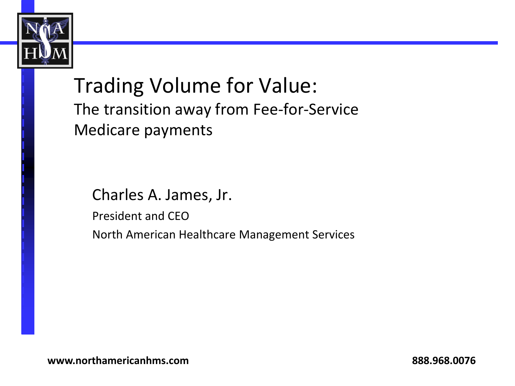

Trading Volume for Value: The transition away from Fee-for-Service Medicare payments

Charles A. James, Jr. President and CEO North American Healthcare Management Services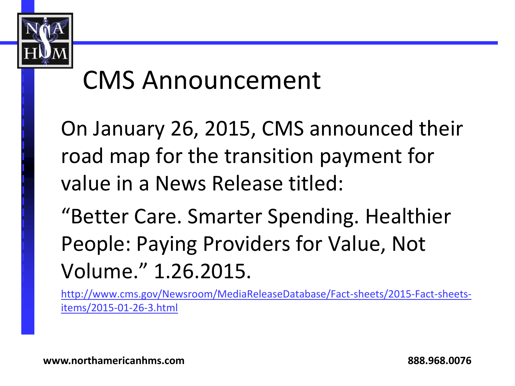

#### CMS Announcement

On January 26, 2015, CMS announced their road map for the transition payment for value in a News Release titled:

"Better Care. Smarter Spending. Healthier People: Paying Providers for Value, Not Volume." 1.26.2015.

[http://www.cms.gov/Newsroom/MediaReleaseDatabase/Fact-sheets/2015-Fact-sheets](http://www.cms.gov/Newsroom/MediaReleaseDatabase/Fact-sheets/2015-Fact-sheets-items/2015-01-26-3.html)[items/2015-01-26-3.html](http://www.cms.gov/Newsroom/MediaReleaseDatabase/Fact-sheets/2015-Fact-sheets-items/2015-01-26-3.html)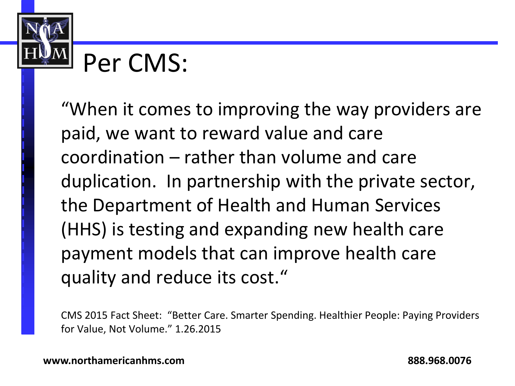

#### Per CMS:

"When it comes to improving the way providers are paid, we want to reward value and care coordination – rather than volume and care duplication. In partnership with the private sector, the Department of Health and Human Services (HHS) is testing and expanding new health care payment models that can improve health care quality and reduce its cost."

CMS 2015 Fact Sheet: "Better Care. Smarter Spending. Healthier People: Paying Providers for Value, Not Volume." 1.26.2015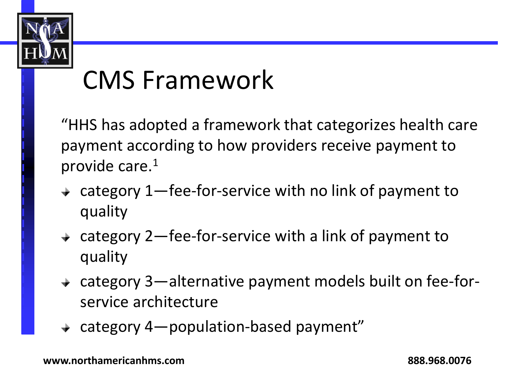

#### CMS Framework

"HHS has adopted a framework that categorizes health care payment according to how providers receive payment to provide care.<sup>1</sup>

- category 1—fee-for-service with no link of payment to quality
- $\rightarrow$  category 2—fee-for-service with a link of payment to quality
- category 3—alternative payment models built on fee-forservice architecture
- $\div$  category 4—population-based payment"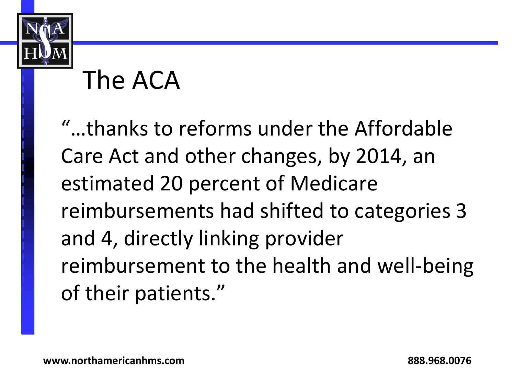

# The ACA

"…thanks to reforms under the Affordable Care Act and other changes, by 2014, an estimated 20 percent of Medicare reimbursements had shifted to categories 3 and 4, directly linking provider reimbursement to the health and well-being of their patients."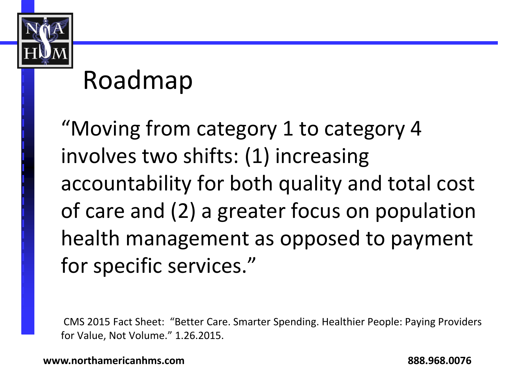

#### Roadmap

"Moving from category 1 to category 4 involves two shifts: (1) increasing accountability for both quality and total cost of care and (2) a greater focus on population health management as opposed to payment for specific services."

CMS 2015 Fact Sheet: "Better Care. Smarter Spending. Healthier People: Paying Providers for Value, Not Volume." 1.26.2015.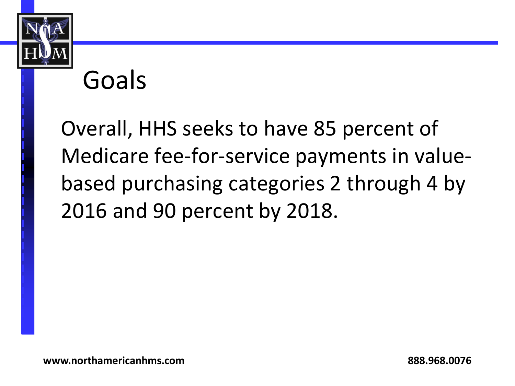

#### Goals

Overall, HHS seeks to have 85 percent of Medicare fee-for-service payments in valuebased purchasing categories 2 through 4 by 2016 and 90 percent by 2018.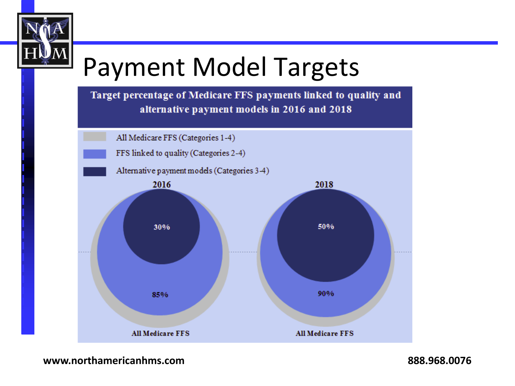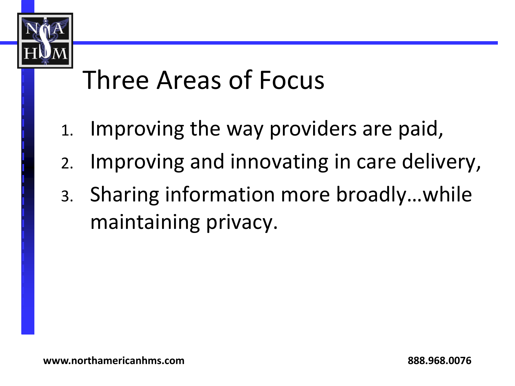

#### Three Areas of Focus

- 1. Improving the way providers are paid,
- 2. Improving and innovating in care delivery,
- 3. Sharing information more broadly…while maintaining privacy.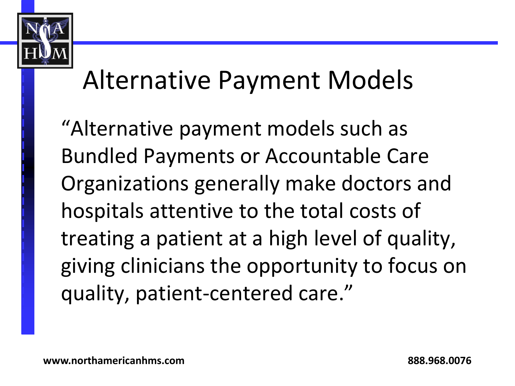

#### Alternative Payment Models

"Alternative payment models such as Bundled Payments or Accountable Care Organizations generally make doctors and hospitals attentive to the total costs of treating a patient at a high level of quality, giving clinicians the opportunity to focus on quality, patient-centered care."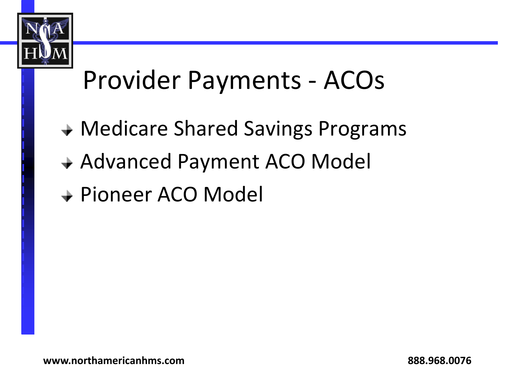

#### Provider Payments - ACOs

- Medicare Shared Savings Programs
- Advanced Payment ACO Model
- Pioneer ACO Model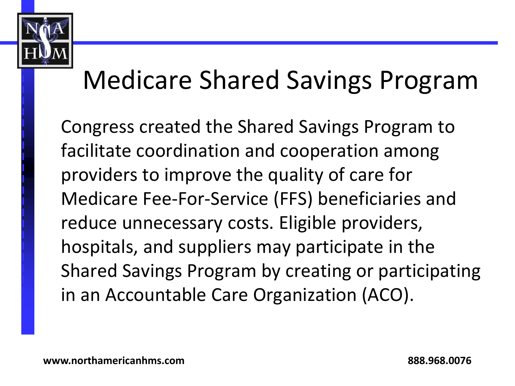

## Medicare Shared Savings Program

Congress created the Shared Savings Program to facilitate coordination and cooperation among providers to improve the quality of care for Medicare Fee-For-Service (FFS) beneficiaries and reduce unnecessary costs. Eligible providers, hospitals, and suppliers may participate in the Shared Savings Program by creating or participating in an Accountable Care Organization (ACO).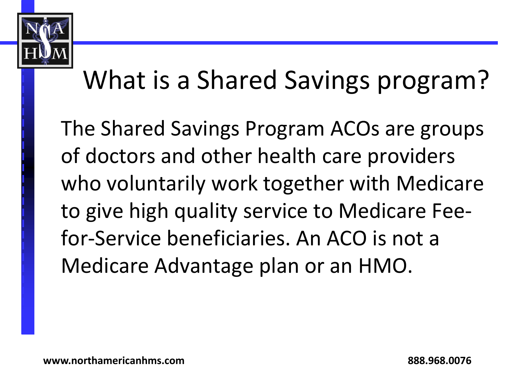

# What is a Shared Savings program?

The Shared Savings Program ACOs are groups of doctors and other health care providers who voluntarily work together with Medicare to give high quality service to Medicare Feefor-Service beneficiaries. An ACO is not a Medicare Advantage plan or an HMO.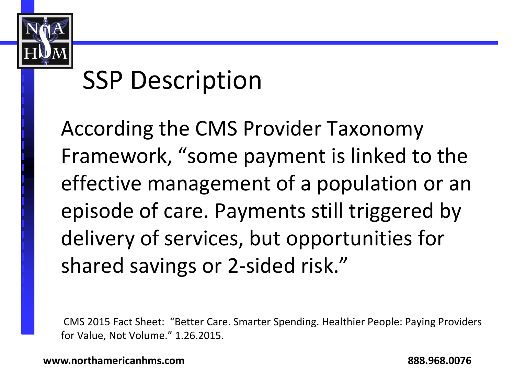

#### SSP Description

According the CMS Provider Taxonomy Framework, "some payment is linked to the effective management of a population or an episode of care. Payments still triggered by delivery of services, but opportunities for shared savings or 2-sided risk."

CMS 2015 Fact Sheet: "Better Care. Smarter Spending. Healthier People: Paying Providers for Value, Not Volume." 1.26.2015.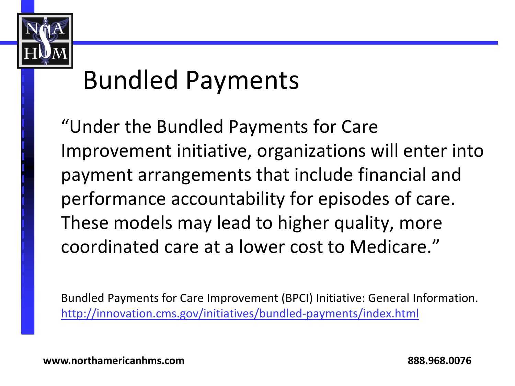

#### Bundled Payments

"Under the Bundled Payments for Care Improvement initiative, organizations will enter into payment arrangements that include financial and performance accountability for episodes of care. These models may lead to higher quality, more coordinated care at a lower cost to Medicare."

Bundled Payments for Care Improvement (BPCI) Initiative: General Information. <http://innovation.cms.gov/initiatives/bundled-payments/index.html>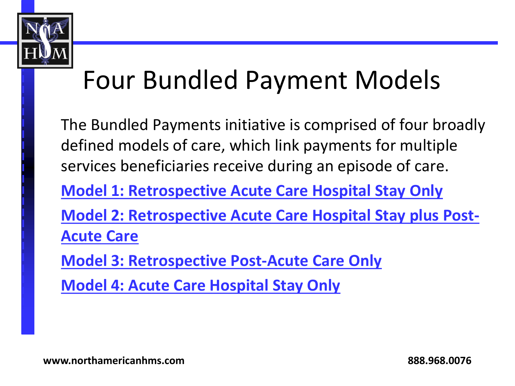

## Four Bundled Payment Models

The Bundled Payments initiative is comprised of four broadly defined models of care, which link payments for multiple services beneficiaries receive during an episode of care. **[Model 1: Retrospective Acute Care Hospital Stay Only](http://innovation.cms.gov/initiatives/BPCI-Model-1/index.html) [Model 2: Retrospective Acute Care Hospital Stay plus Post-](http://innovation.cms.gov/initiatives/BPCI-Model-2/index.html)[Acute Care](http://innovation.cms.gov/initiatives/BPCI-Model-2/index.html) [Model 3: Retrospective Post-Acute Care Only](http://innovation.cms.gov/initiatives/BPCI-Model-3/index.html) [Model 4: Acute Care Hospital Stay Only](http://innovation.cms.gov/initiatives/BPCI-Model-4/index.html)**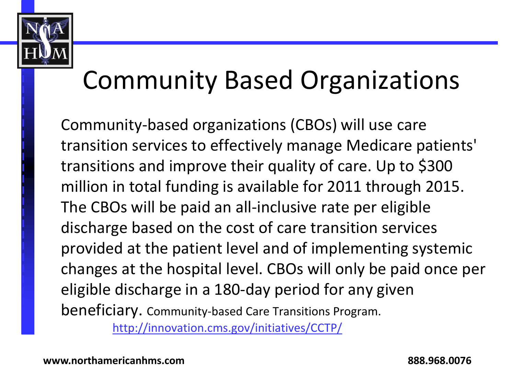

## Community Based Organizations

Community-based organizations (CBOs) will use care transition services to effectively manage Medicare patients' transitions and improve their quality of care. Up to \$300 million in total funding is available for 2011 through 2015. The CBOs will be paid an all-inclusive rate per eligible discharge based on the cost of care transition services provided at the patient level and of implementing systemic changes at the hospital level. CBOs will only be paid once per eligible discharge in a 180-day period for any given beneficiary. Community-based Care Transitions Program. <http://innovation.cms.gov/initiatives/CCTP/>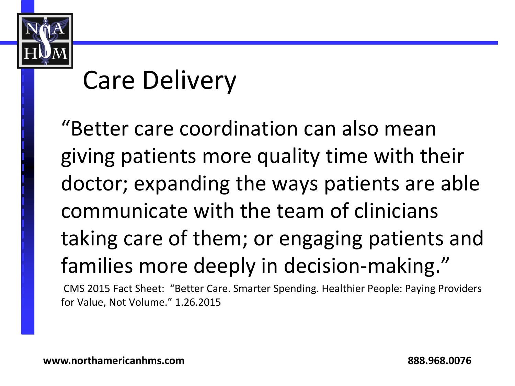

## Care Delivery

"Better care coordination can also mean giving patients more quality time with their doctor; expanding the ways patients are able communicate with the team of clinicians taking care of them; or engaging patients and families more deeply in decision-making."

CMS 2015 Fact Sheet: "Better Care. Smarter Spending. Healthier People: Paying Providers for Value, Not Volume." 1.26.2015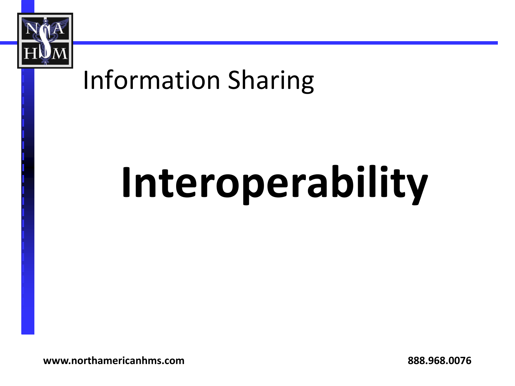

#### Information Sharing

# **Interoperability**

**www.northamericanhms.com 888.968.0076**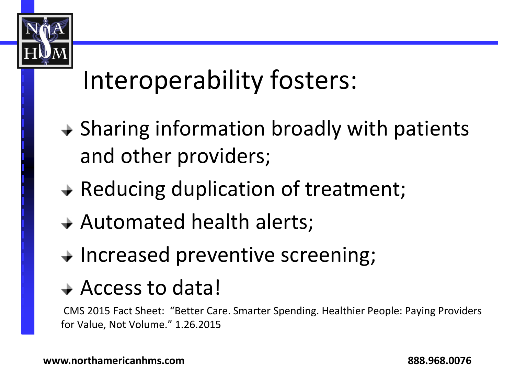

## Interoperability fosters:

- $\rightarrow$  Sharing information broadly with patients and other providers;
- $\rightarrow$  Reducing duplication of treatment;
- Automated health alerts;
- $\rightarrow$  Increased preventive screening;

#### Access to data!

CMS 2015 Fact Sheet: "Better Care. Smarter Spending. Healthier People: Paying Providers for Value, Not Volume." 1.26.2015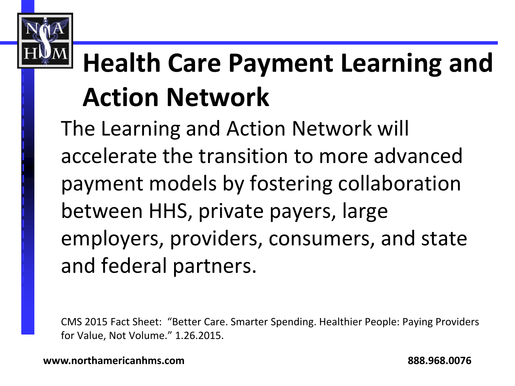# **Health Care Payment Learning and Action Network**

The Learning and Action Network will accelerate the transition to more advanced payment models by fostering collaboration between HHS, private payers, large employers, providers, consumers, and state and federal partners.

CMS 2015 Fact Sheet: "Better Care. Smarter Spending. Healthier People: Paying Providers for Value, Not Volume." 1.26.2015.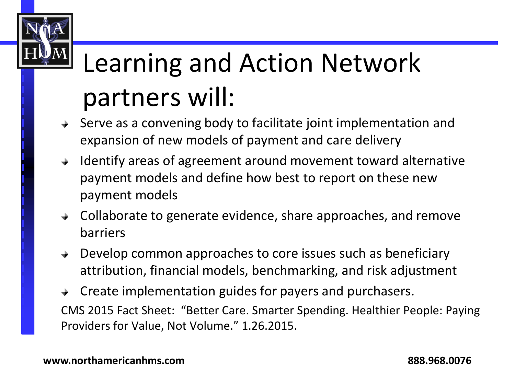# Learning and Action Network partners will:

- Serve as a convening body to facilitate joint implementation and expansion of new models of payment and care delivery
- $\rightarrow$  Identify areas of agreement around movement toward alternative payment models and define how best to report on these new payment models
- $\rightarrow$  Collaborate to generate evidence, share approaches, and remove barriers
- **→** Develop common approaches to core issues such as beneficiary attribution, financial models, benchmarking, and risk adjustment
- $\rightarrow$  Create implementation guides for payers and purchasers. CMS 2015 Fact Sheet: "Better Care. Smarter Spending. Healthier People: Paying Providers for Value, Not Volume." 1.26.2015.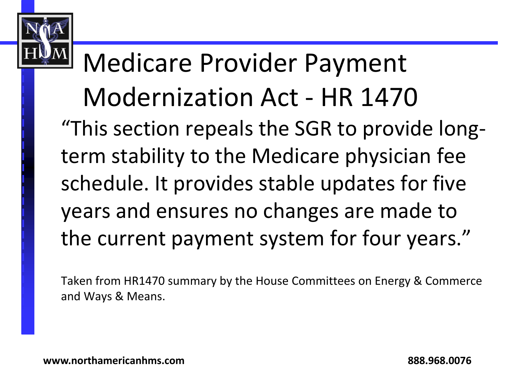#### Medicare Provider Payment Modernization Act - HR 1470 "This section repeals the SGR to provide longterm stability to the Medicare physician fee schedule. It provides stable updates for five years and ensures no changes are made to the current payment system for four years."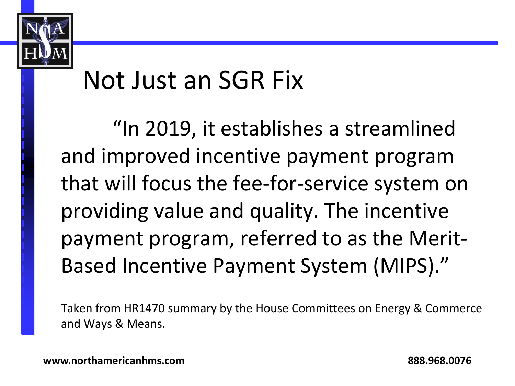

#### Not Just an SGR Fix

"In 2019, it establishes a streamlined and improved incentive payment program that will focus the fee-for-service system on providing value and quality. The incentive payment program, referred to as the Merit-Based Incentive Payment System (MIPS)."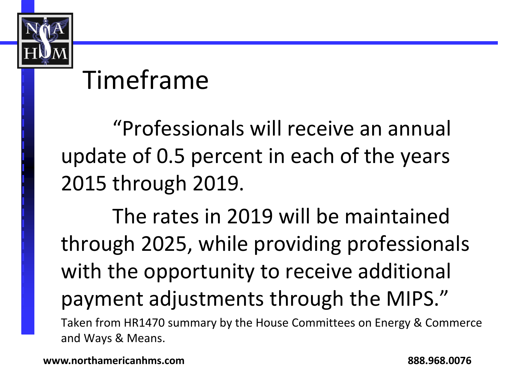

#### Timeframe

"Professionals will receive an annual update of 0.5 percent in each of the years 2015 through 2019.

The rates in 2019 will be maintained through 2025, while providing professionals with the opportunity to receive additional payment adjustments through the MIPS."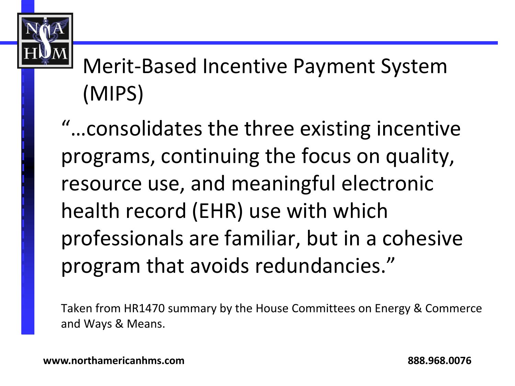

Merit-Based Incentive Payment System (MIPS)

"…consolidates the three existing incentive programs, continuing the focus on quality, resource use, and meaningful electronic health record (EHR) use with which professionals are familiar, but in a cohesive program that avoids redundancies."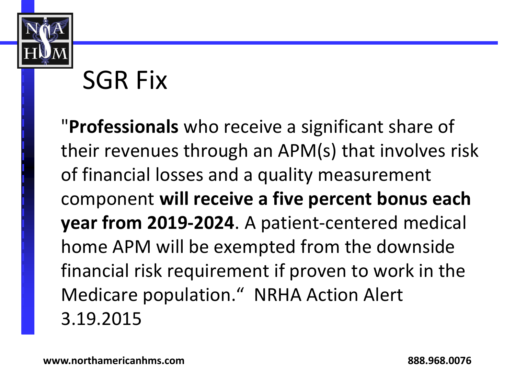

## SGR Fix

"**Professionals** who receive a significant share of their revenues through an APM(s) that involves risk of financial losses and a quality measurement component **will receive a five percent bonus each year from 2019-2024**. A patient-centered medical home APM will be exempted from the downside financial risk requirement if proven to work in the Medicare population." NRHA Action Alert 3.19.2015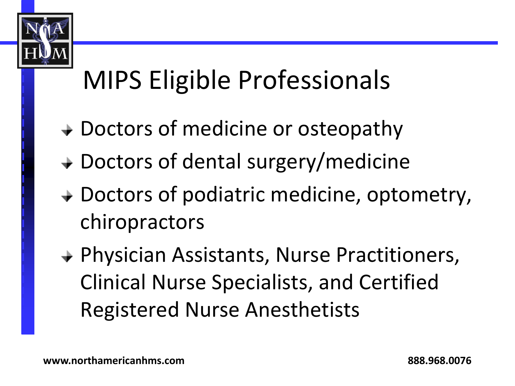

# MIPS Eligible Professionals

- **→ Doctors of medicine or osteopathy**
- **→ Doctors of dental surgery/medicine**
- **→ Doctors of podiatric medicine, optometry,** chiropractors
- Physician Assistants, Nurse Practitioners, Clinical Nurse Specialists, and Certified Registered Nurse Anesthetists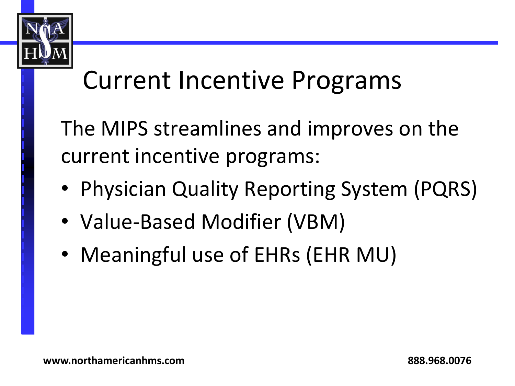

## Current Incentive Programs

The MIPS streamlines and improves on the current incentive programs:

- Physician Quality Reporting System (PQRS)
- Value-Based Modifier (VBM)
- Meaningful use of EHRs (EHR MU)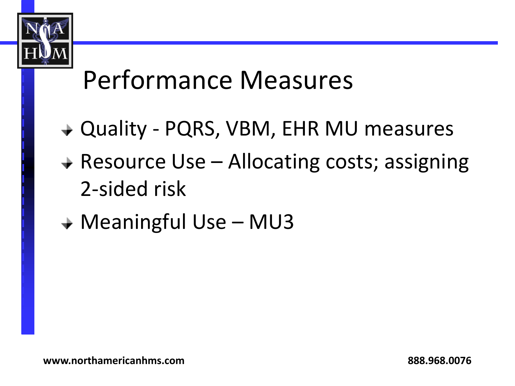

#### Performance Measures

- Quality PQRS, VBM, EHR MU measures
- $\rightarrow$  Resource Use Allocating costs; assigning 2-sided risk
- **→ Meaningful Use MU3**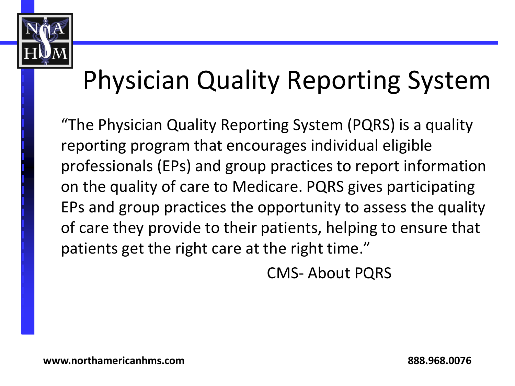

# Physician Quality Reporting System

"The Physician Quality Reporting System (PQRS) is a quality reporting program that encourages individual eligible professionals (EPs) and group practices to report information on the quality of care to Medicare. PQRS gives participating EPs and group practices the opportunity to assess the quality of care they provide to their patients, helping to ensure that patients get the right care at the right time."

CMS- About PQRS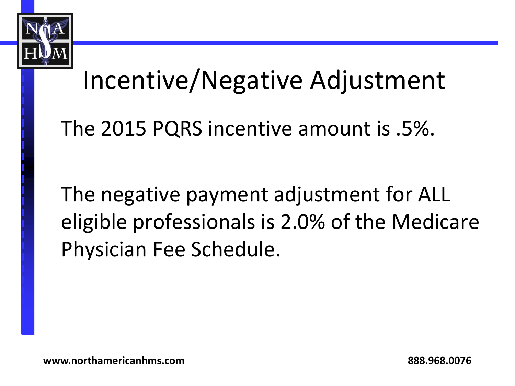

#### Incentive/Negative Adjustment

The 2015 PQRS incentive amount is .5%.

The negative payment adjustment for ALL eligible professionals is 2.0% of the Medicare Physician Fee Schedule.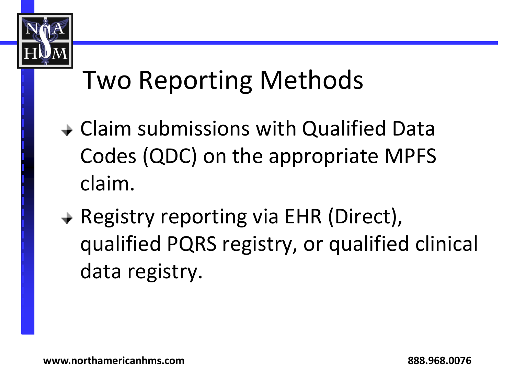

## Two Reporting Methods

- Claim submissions with Qualified Data Codes (QDC) on the appropriate MPFS claim.
- **→ Registry reporting via EHR (Direct),** qualified PQRS registry, or qualified clinical data registry.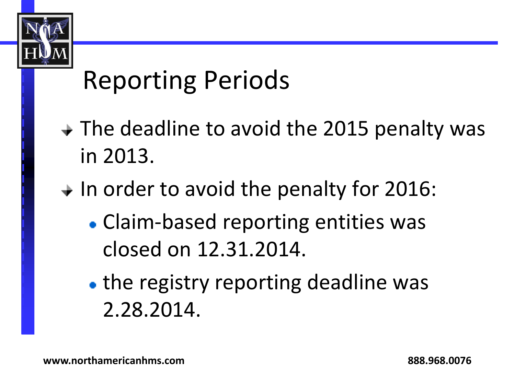

## Reporting Periods

- $\rightarrow$  The deadline to avoid the 2015 penalty was in 2013.
- $\div$  In order to avoid the penalty for 2016:
	- Claim-based reporting entities was closed on 12.31.2014.
	- the registry reporting deadline was 2.28.2014.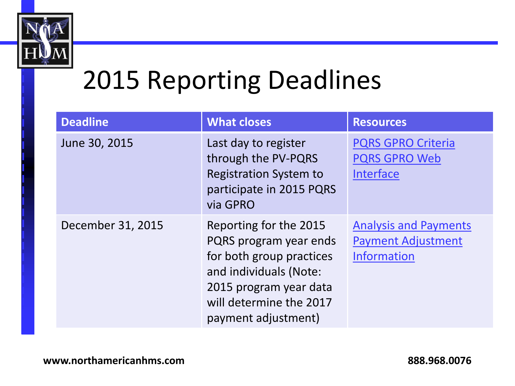

#### 2015 Reporting Deadlines

| <b>Deadline</b>   | <b>What closes</b>                                                                                                                                                                 | <b>Resources</b>                                                                |
|-------------------|------------------------------------------------------------------------------------------------------------------------------------------------------------------------------------|---------------------------------------------------------------------------------|
| June 30, 2015     | Last day to register<br>through the PV-PQRS<br><b>Registration System to</b><br>participate in 2015 PQRS<br>via GPRO                                                               | <b>PQRS GPRO Criteria</b><br><b>PQRS GPRO Web</b><br><b>Interface</b>           |
| December 31, 2015 | Reporting for the 2015<br>PQRS program year ends<br>for both group practices<br>and individuals (Note:<br>2015 program year data<br>will determine the 2017<br>payment adjustment) | <b>Analysis and Payments</b><br><b>Payment Adjustment</b><br><b>Information</b> |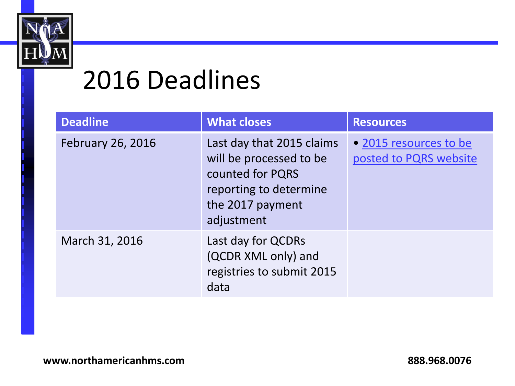

#### 2016 Deadlines

| <b>Deadline</b>          | <b>What closes</b>                                                                                                                   | <b>Resources</b>                                 |
|--------------------------|--------------------------------------------------------------------------------------------------------------------------------------|--------------------------------------------------|
| <b>February 26, 2016</b> | Last day that 2015 claims<br>will be processed to be<br>counted for PQRS<br>reporting to determine<br>the 2017 payment<br>adjustment | • 2015 resources to be<br>posted to PQRS website |
| March 31, 2016           | Last day for QCDRs<br>(QCDR XML only) and<br>registries to submit 2015<br>data                                                       |                                                  |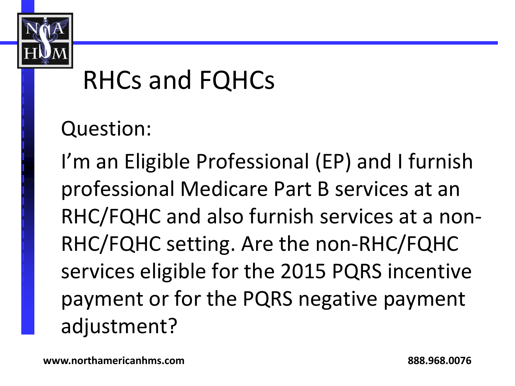

#### RHCs and FQHCs

Question:

I'm an Eligible Professional (EP) and I furnish professional Medicare Part B services at an RHC/FQHC and also furnish services at a non-RHC/FQHC setting. Are the non-RHC/FQHC services eligible for the 2015 PQRS incentive payment or for the PQRS negative payment adjustment?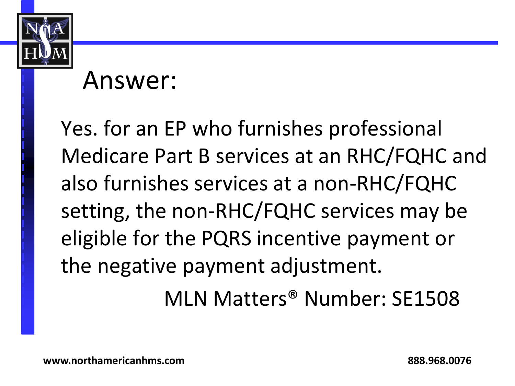

#### Answer:

Yes. for an EP who furnishes professional Medicare Part B services at an RHC/FQHC and also furnishes services at a non-RHC/FQHC setting, the non-RHC/FQHC services may be eligible for the PQRS incentive payment or the negative payment adjustment.

MLN Matters® Number: SE1508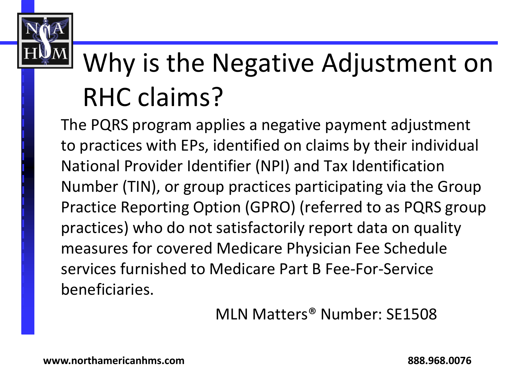

# Why is the Negative Adjustment on RHC claims?

The PQRS program applies a negative payment adjustment to practices with EPs, identified on claims by their individual National Provider Identifier (NPI) and Tax Identification Number (TIN), or group practices participating via the Group Practice Reporting Option (GPRO) (referred to as PQRS group practices) who do not satisfactorily report data on quality measures for covered Medicare Physician Fee Schedule services furnished to Medicare Part B Fee-For-Service beneficiaries.

MLN Matters® Number: SE1508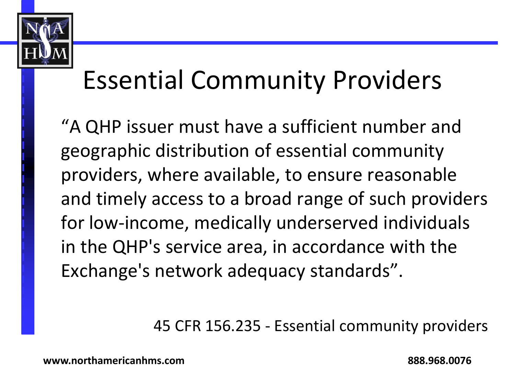

## Essential Community Providers

"A QHP issuer must have a sufficient number and geographic distribution of essential community providers, where available, to ensure reasonable and timely access to a broad range of such providers for low-income, medically underserved individuals in the QHP's service area, in accordance with the Exchange's network adequacy standards".

45 CFR 156.235 - Essential community providers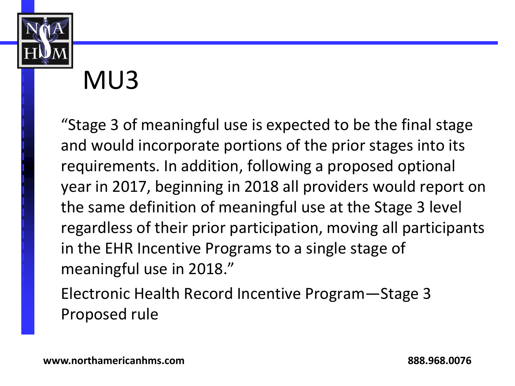

#### MU3

"Stage 3 of meaningful use is expected to be the final stage and would incorporate portions of the prior stages into its requirements. In addition, following a proposed optional year in 2017, beginning in 2018 all providers would report on the same definition of meaningful use at the Stage 3 level regardless of their prior participation, moving all participants in the EHR Incentive Programs to a single stage of meaningful use in 2018."

Electronic Health Record Incentive Program—Stage 3 Proposed rule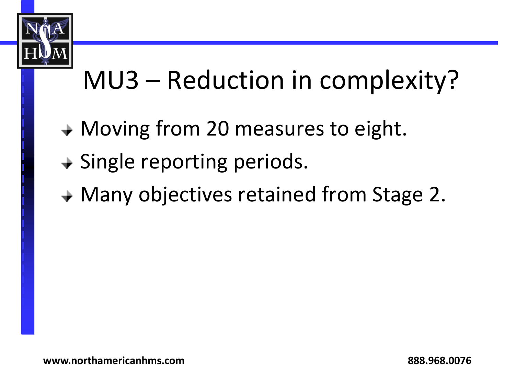

# MU3 – Reduction in complexity?

- **→ Moving from 20 measures to eight.**
- $\rightarrow$  Single reporting periods.
- **→ Many objectives retained from Stage 2.**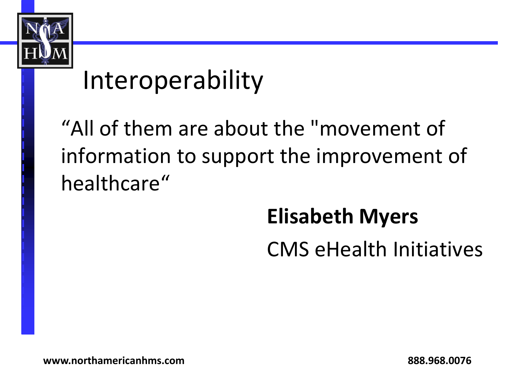

#### Interoperability

"All of them are about the "movement of information to support the improvement of healthcare"

#### **Elisabeth Myers**

CMS eHealth Initiatives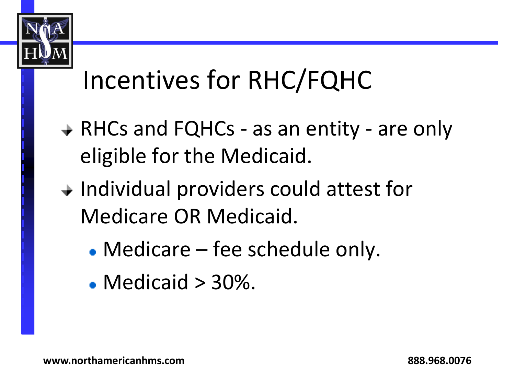

## Incentives for RHC/FQHC

- **→ RHCs and FQHCs as an entity are only** eligible for the Medicaid.
- $\rightarrow$  Individual providers could attest for Medicare OR Medicaid.
	- Medicare fee schedule only.
	- $\bullet$  Medicaid  $>$  30%.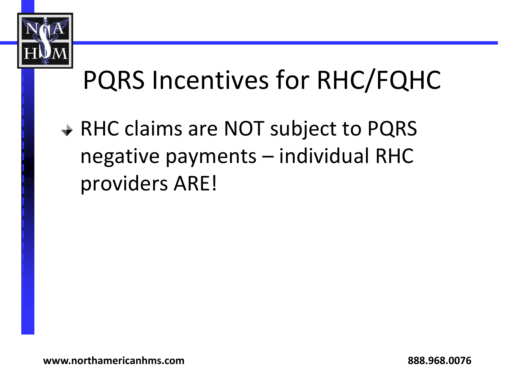

# PQRS Incentives for RHC/FQHC

**→ RHC claims are NOT subject to PQRS** negative payments – individual RHC providers ARE!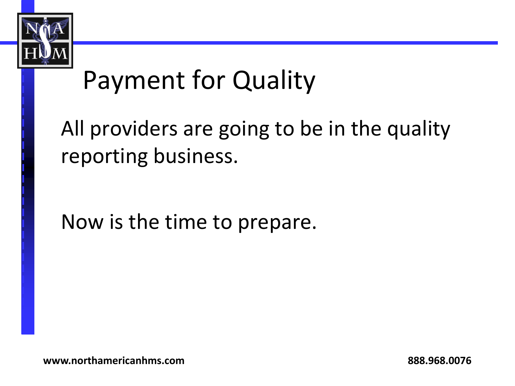

## Payment for Quality

All providers are going to be in the quality reporting business.

Now is the time to prepare.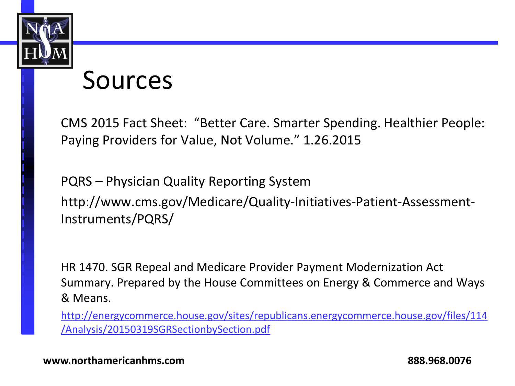

#### Sources

CMS 2015 Fact Sheet: "Better Care. Smarter Spending. Healthier People: Paying Providers for Value, Not Volume." 1.26.2015

PQRS – Physician Quality Reporting System http://www.cms.gov/Medicare/Quality-Initiatives-Patient-Assessment-Instruments/PQRS/

HR 1470. SGR Repeal and Medicare Provider Payment Modernization Act Summary. Prepared by the House Committees on Energy & Commerce and Ways & Means.

[http://energycommerce.house.gov/sites/republicans.energycommerce.house.gov/files/114](http://energycommerce.house.gov/sites/republicans.energycommerce.house.gov/files/114/Analysis/20150319SGRSectionbySection.pdf) [/Analysis/20150319SGRSectionbySection.pdf](http://energycommerce.house.gov/sites/republicans.energycommerce.house.gov/files/114/Analysis/20150319SGRSectionbySection.pdf)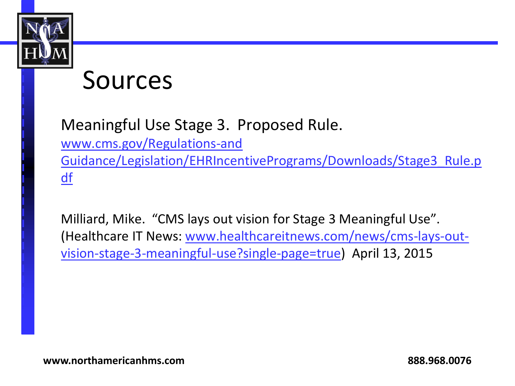

#### Sources

Meaningful Use Stage 3. Proposed Rule.

[www.cms.gov/Regulations-and](http://www.cms.gov/Regulations-and Guidance/Legislation/EHRIncentivePrograms/Downloads/Stage3_Rule.pdf) 

[Guidance/Legislation/EHRIncentivePrograms/Downloads/Stage3\\_Rule.p](http://www.cms.gov/Regulations-and Guidance/Legislation/EHRIncentivePrograms/Downloads/Stage3_Rule.pdf) [df](http://www.cms.gov/Regulations-and Guidance/Legislation/EHRIncentivePrograms/Downloads/Stage3_Rule.pdf)

Milliard, Mike. "CMS lays out vision for Stage 3 Meaningful Use". (Healthcare IT News: [www.healthcareitnews.com/news/cms-lays-out](http://www.healthcareitnews.com/news/cms-lays-out-vision-stage-3-meaningful-use?single-page=true)[vision-stage-3-meaningful-use?single-page=true\)](http://www.healthcareitnews.com/news/cms-lays-out-vision-stage-3-meaningful-use?single-page=true) April 13, 2015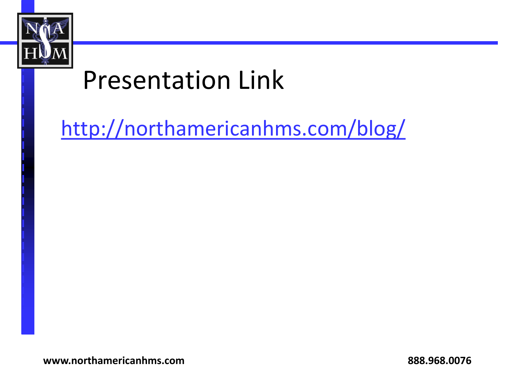

#### Presentation Link

<http://northamericanhms.com/blog/>